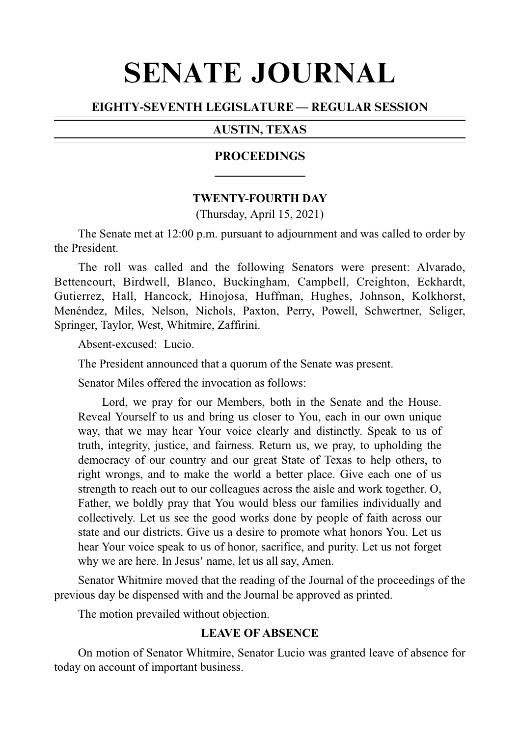# SENATE JOURNAL

# EIGHTY-SEVENTH LEGISLATURE — REGULAR SESSION

# AUSTIN, TEXAS

#### PROCEEDINGS

#### **TWENTY-FOURTH DAY**

(Thursday, April 15, 2021)

The Senate met at 12:00 p.m. pursuant to adjournment and was called to order by the President.

The roll was called and the following Senators were present: Alvarado, Bettencourt, Birdwell, Blanco, Buckingham, Campbell, Creighton, Eckhardt, Gutierrez, Hall, Hancock, Hinojosa, Huffman, Hughes, Johnson, Kolkhorst, Menéndez, Miles, Nelson, Nichols, Paxton, Perry, Powell, Schwertner, Seliger, Springer, Taylor, West, Whitmire, Zaffirini.

Absent-excused: Lucio.

The President announced that a quorum of the Senate was present.

Senator Miles offered the invocation as follows:

Lord, we pray for our Members, both in the Senate and the House. Reveal Yourself to us and bring us closer to You, each in our own unique way, that we may hear Your voice clearly and distinctly. Speak to us of truth, integrity, justice, and fairness. Return us, we pray, to upholding the democracy of our country and our great State of Texas to help others, to right wrongs, and to make the world a better place. Give each one of us strength to reach out to our colleagues across the aisle and work together. O, Father, we boldly pray that You would bless our families individually and collectively. Let us see the good works done by people of faith across our state and our districts. Give us a desire to promote what honors You. Let us hear Your voice speak to us of honor, sacrifice, and purity. Let us not forget why we are here. In Jesus' name, let us all say, Amen.

Senator Whitmire moved that the reading of the Journal of the proceedings of the previous day be dispensed with and the Journal be approved as printed.

The motion prevailed without objection.

# **LEAVE OF ABSENCE**

On motion of Senator Whitmire, Senator Lucio was granted leave of absence for today on account of important business.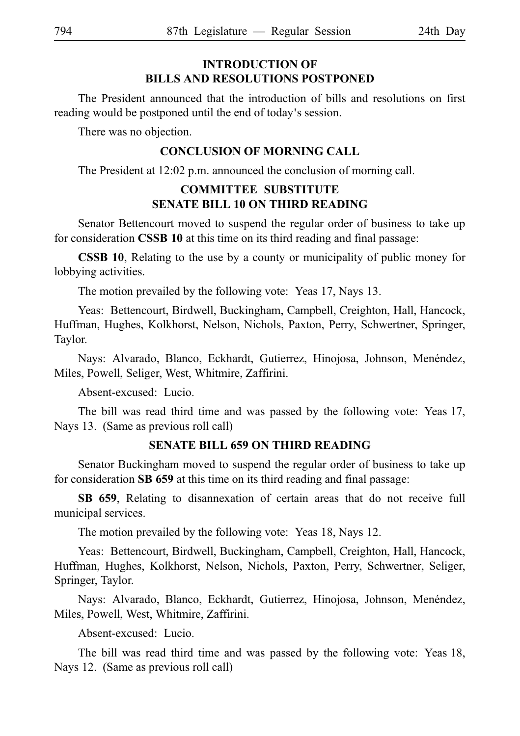# **INTRODUCTION OF BILLS AND RESOLUTIONS POSTPONED**

The President announced that the introduction of bills and resolutions on first reading would be postponed until the end of today's session.

There was no objection.

#### **CONCLUSION OF MORNING CALL**

The President at 12:02 p.m. announced the conclusion of morning call.

# **COMMITTEE SUBSTITUTE SENATE BILL 10 ON THIRD READING**

Senator Bettencourt moved to suspend the regular order of business to take up for consideration **CSSB 10** at this time on its third reading and final passage:

**CSSB 10**, Relating to the use by a county or municipality of public money for lobbying activities.

The motion prevailed by the following vote: Yeas 17, Nays 13.

Yeas: Bettencourt, Birdwell, Buckingham, Campbell, Creighton, Hall, Hancock, Huffman, Hughes, Kolkhorst, Nelson, Nichols, Paxton, Perry, Schwertner, Springer, Taylor.

Nays: Alvarado, Blanco, Eckhardt, Gutierrez, Hinojosa, Johnson, Menéndez, Miles, Powell, Seliger, West, Whitmire, Zaffirini.

Absent-excused: Lucio.

The bill was read third time and was passed by the following vote: Yeas 17, Nays 13. (Same as previous roll call)

#### **SENATE BILL 659 ON THIRD READING**

Senator Buckingham moved to suspend the regular order of business to take up for consideration SB 659 at this time on its third reading and final passage:

**SB 659**, Relating to disannexation of certain areas that do not receive full municipal services.

The motion prevailed by the following vote: Yeas 18, Nays 12.

Yeas: Bettencourt, Birdwell, Buckingham, Campbell, Creighton, Hall, Hancock, Huffman, Hughes, Kolkhorst, Nelson, Nichols, Paxton, Perry, Schwertner, Seliger, Springer, Taylor.

Nays: Alvarado, Blanco, Eckhardt, Gutierrez, Hinojosa, Johnson, Menéndez, Miles, Powell, West, Whitmire, Zaffirini.

Absent-excused: Lucio.

The bill was read third time and was passed by the following vote: Yeas 18, Nays 12. (Same as previous roll call)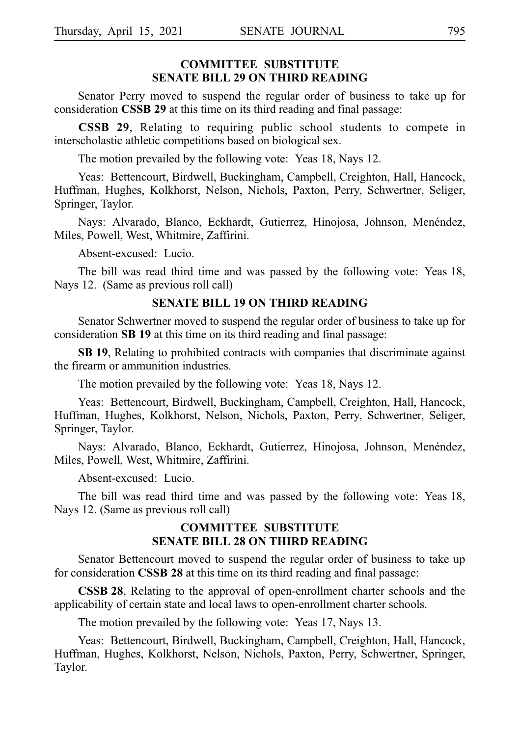## **COMMITTEE SUBSTITUTE SENATE BILL 29 ON THIRD READING**

Senator Perry moved to suspend the regular order of business to take up for consideration **CSSB 29** at this time on its third reading and final passage:

**CSSB 29**, Relating to requiring public school students to compete in interscholastic athletic competitions based on biological sex.

The motion prevailed by the following vote: Yeas 18, Nays 12.

Yeas: Bettencourt, Birdwell, Buckingham, Campbell, Creighton, Hall, Hancock, Huffman, Hughes, Kolkhorst, Nelson, Nichols, Paxton, Perry, Schwertner, Seliger, Springer, Taylor.

Nays: Alvarado, Blanco, Eckhardt, Gutierrez, Hinojosa, Johnson, Menéndez, Miles, Powell, West, Whitmire, Zaffirini.

Absent-excused: Lucio.

The bill was read third time and was passed by the following vote: Yeas 18, Nays 12. (Same as previous roll call)

#### **SENATE BILL 19 ON THIRD READING**

Senator Schwertner moved to suspend the regular order of business to take up for consideration **SB 19** at this time on its third reading and final passage:

**SBi19**, Relating to prohibited contracts with companies that discriminate against the firearm or ammunition industries.

The motion prevailed by the following vote: Yeas 18, Nays 12.

Yeas: Bettencourt, Birdwell, Buckingham, Campbell, Creighton, Hall, Hancock, Huffman, Hughes, Kolkhorst, Nelson, Nichols, Paxton, Perry, Schwertner, Seliger, Springer, Taylor.

Nays: Alvarado, Blanco, Eckhardt, Gutierrez, Hinojosa, Johnson, Menéndez, Miles, Powell, West, Whitmire, Zaffirini.

Absent-excused: Lucio.

The bill was read third time and was passed by the following vote: Yeas 18, Nays 12. (Same as previous roll call)

#### **COMMITTEE SUBSTITUTE SENATE BILL 28 ON THIRD READING**

Senator Bettencourt moved to suspend the regular order of business to take up for consideration **CSSB 28** at this time on its third reading and final passage:

**CSSB 28.** Relating to the approval of open-enrollment charter schools and the applicability of certain state and local laws to open-enrollment charter schools.

The motion prevailed by the following vote: Yeas 17, Nays 13.

Yeas: Bettencourt, Birdwell, Buckingham, Campbell, Creighton, Hall, Hancock, Huffman, Hughes, Kolkhorst, Nelson, Nichols, Paxton, Perry, Schwertner, Springer, Taylor.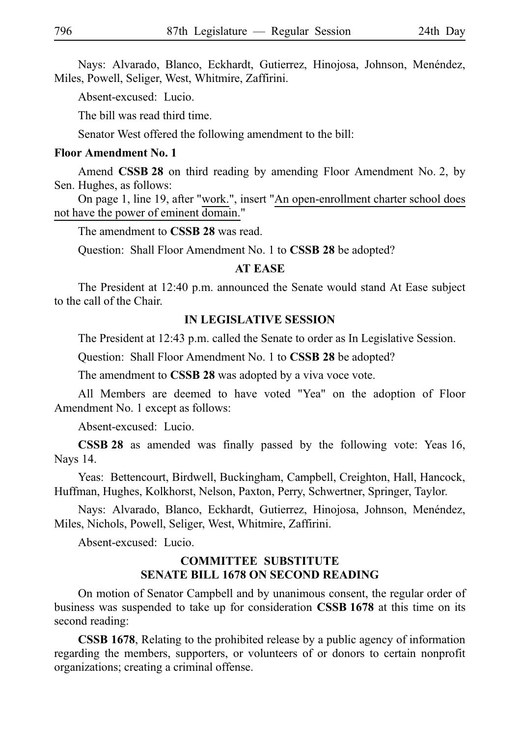Nays: Alvarado, Blanco, Eckhardt, Gutierrez, Hinojosa, Johnson, Menéndez, Miles, Powell, Seliger, West, Whitmire, Zaffirini.

Absent-excused: Lucio.

The bill was read third time.

Senator West offered the following amendment to the bill:

#### **Floor Amendment No. 1**

Amend **CSSB 28** on third reading by amending Floor Amendment No. 2, by Sen. Hughes, as follows:

On page 1, line 19, after "work.", insert "An open-enrollment charter school does not have the power of eminent domain."

The amendment to **CSSB 28** was read.

Ouestion: Shall Floor Amendment No. 1 to **CSSB 28** be adopted?

#### **AT EASE**

The President at 12:40 p.m. announced the Senate would stand At Ease subject to the call of the Chair.

#### **IN LEGISLATIVE SESSION**

The President at 12:43 p.m. called the Senate to order as In Legislative Session.

Question: Shall Floor Amendment No. 1 to **CSSB 28** be adopted?

The amendment to **CSSB 28** was adopted by a viva voce vote.

All Members are deemed to have voted "Yea" on the adoption of Floor Amendment No. 1 except as follows:

Absent-excused: Lucio.

**CSSB 28** as amended was finally passed by the following vote: Yeas 16, Nays 14.

Yeas: Bettencourt, Birdwell, Buckingham, Campbell, Creighton, Hall, Hancock, Huffman, Hughes, Kolkhorst, Nelson, Paxton, Perry, Schwertner, Springer, Taylor.

Nays: Alvarado, Blanco, Eckhardt, Gutierrez, Hinojosa, Johnson, Menéndez, Miles, Nichols, Powell, Seliger, West, Whitmire, Zaffirini.

Absent-excused: Lucio.

#### **COMMITTEE SUBSTITUTE SENATE BILL 1678 ON SECOND READING**

On motion of Senator Campbell and by unanimous consent, the regular order of business was suspended to take up for consideration **CSSBi1678** at this time on its second reading:

**CSSB 1678**, Relating to the prohibited release by a public agency of information regarding the members, supporters, or volunteers of or donors to certain nonprofit organizations; creating a criminal offense.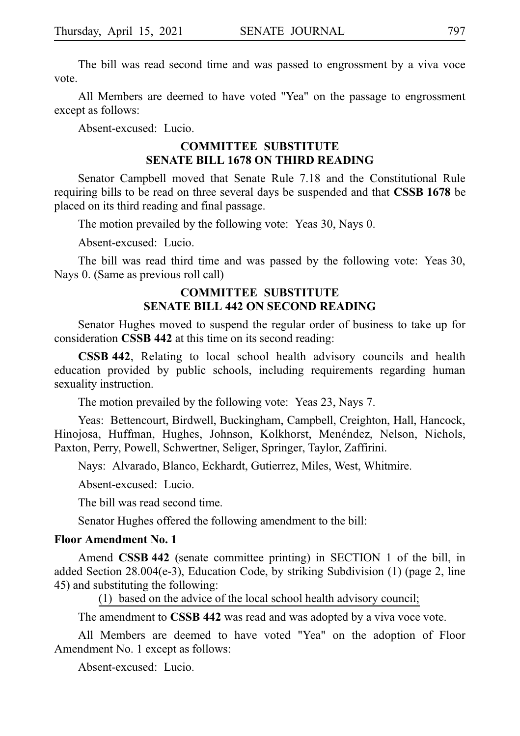The bill was read second time and was passed to engrossment by a viva voce vote.

All Members are deemed to have voted "Yea" on the passage to engrossment except as follows:

Absent-excused: Lucio.

#### **COMMITTEE SUBSTITUTE SENATE BILL 1678 ON THIRD READING**

Senator Campbell moved that Senate Rule 7.18 and the Constitutional Rule requiring bills to be read on three several days be suspended and that **CSSBi1678** be placed on its third reading and final passage.

The motion prevailed by the following vote: Yeas 30, Nays 0.

Absent-excused: Lucio.

The bill was read third time and was passed by the following vote: Yeas 30, Nays 0. (Same as previous roll call)

#### **COMMITTEE SUBSTITUTE SENATE BILL 442 ON SECOND READING**

Senator Hughes moved to suspend the regular order of business to take up for consideration **CSSB 442** at this time on its second reading:

**CSSB 442**, Relating to local school health advisory councils and health education provided by public schools, including requirements regarding human sexuality instruction.

The motion prevailed by the following vote: Yeas 23, Nays 7.

Yeas: Bettencourt, Birdwell, Buckingham, Campbell, Creighton, Hall, Hancock, Hinojosa, Huffman, Hughes, Johnson, Kolkhorst, Menéndez, Nelson, Nichols, Paxton, Perry, Powell, Schwertner, Seliger, Springer, Taylor, Zaffirini.

Nays: Alvarado, Blanco, Eckhardt, Gutierrez, Miles, West, Whitmire.

Absent-excused: Lucio.

The bill was read second time.

Senator Hughes offered the following amendment to the bill:

#### **Floor Amendment No. 1**

Amend **CSSB 442** (senate committee printing) in SECTION 1 of the bill, in added Section  $28.004(e-3)$ , Education Code, by striking Subdivision  $(1)$  (page 2, line 45) and substituting the following:

(1) based on the advice of the local school health advisory council;

The amendment to **CSSB 442** was read and was adopted by a viva voce vote.

All Members are deemed to have voted "Yea" on the adoption of Floor Amendment No. 1 except as follows:

Absent-excused: Lucio.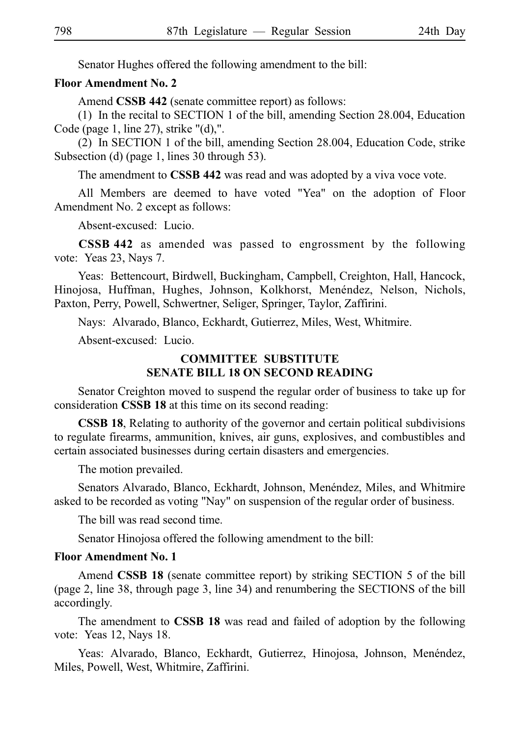Senator Hughes offered the following amendment to the bill:

#### **Floor Amendment No. 2**

Amend **CSSB 442** (senate committee report) as follows:

(1) In the recital to SECTION 1 of the bill, amending Section 28.004, Education Code (page 1, line 27), strike "(d),".

(2) In SECTION 1 of the bill, amending Section 28.004, Education Code, strike Subsection (d) (page 1, lines 30 through 53).

The amendment to **CSSB 442** was read and was adopted by a viva voce vote.

All Members are deemed to have voted "Yea" on the adoption of Floor Amendment No. 2 except as follows:

Absent-excused: Lucio.

**CSSBi442** as amended was passed to engrossment by the following vote: Yeas 23, Nays 7.

Yeas: Bettencourt, Birdwell, Buckingham, Campbell, Creighton, Hall, Hancock, Hinojosa, Huffman, Hughes, Johnson, Kolkhorst, Menéndez, Nelson, Nichols, Paxton, Perry, Powell, Schwertner, Seliger, Springer, Taylor, Zaffirini.

Nays: Alvarado, Blanco, Eckhardt, Gutierrez, Miles, West, Whitmire.

Absent-excused: Lucio.

# **COMMITTEE SUBSTITUTE SENATE BILL 18 ON SECOND READING**

Senator Creighton moved to suspend the regular order of business to take up for consideration **CSSB 18** at this time on its second reading:

**CSSB 18**, Relating to authority of the governor and certain political subdivisions to regulate firearms, ammunition, knives, air guns, explosives, and combustibles and certain associated businesses during certain disasters and emergencies.

The motion prevailed.

Senators Alvarado, Blanco, Eckhardt, Johnson, Menéndez, Miles, and Whitmire asked to be recorded as voting "Nay" on suspension of the regular order of business.

The bill was read second time.

Senator Hinojosa offered the following amendment to the bill:

#### **Floor Amendment No. 1**

Amend **CSSB 18** (senate committee report) by striking SECTION 5 of the bill (page 2, line 38, through page 3, line 34) and renumbering the SECTIONS of the bill accordingly.

The amendment to **CSSB 18** was read and failed of adoption by the following vote: Yeas 12, Nays 18.

Yeas: Alvarado, Blanco, Eckhardt, Gutierrez, Hinojosa, Johnson, Menéndez, Miles, Powell, West, Whitmire, Zaffirini.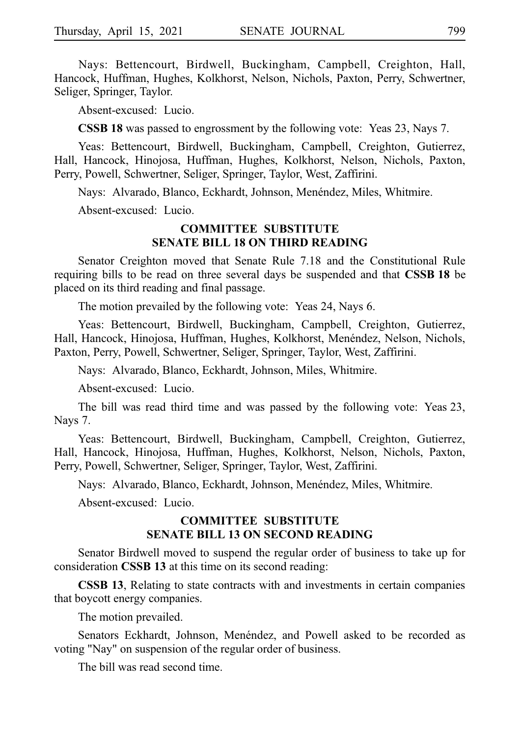Nays: Bettencourt, Birdwell, Buckingham, Campbell, Creighton, Hall, Hancock, Huffman, Hughes, Kolkhorst, Nelson, Nichols, Paxton, Perry, Schwertner, Seliger, Springer, Taylor.

Absent-excused: Lucio.

**CSSB 18** was passed to engrossment by the following vote: Yeas 23, Nays 7.

Yeas: Bettencourt, Birdwell, Buckingham, Campbell, Creighton, Gutierrez, Hall, Hancock, Hinojosa, Huffman, Hughes, Kolkhorst, Nelson, Nichols, Paxton, Perry, Powell, Schwertner, Seliger, Springer, Taylor, West, Zaffirini.

Nays: Alvarado, Blanco, Eckhardt, Johnson, Menéndez, Miles, Whitmire.

Absent-excused: Lucio.

#### **COMMITTEE SUBSTITUTE SENATE BILL 18 ON THIRD READING**

Senator Creighton moved that Senate Rule 7.18 and the Constitutional Rule requiring bills to be read on three several days be suspended and that **CSSBi18** be placed on its third reading and final passage.

The motion prevailed by the following vote: Yeas 24, Nays 6.

Yeas: Bettencourt, Birdwell, Buckingham, Campbell, Creighton, Gutierrez, Hall, Hancock, Hinojosa, Huffman, Hughes, Kolkhorst, Menéndez, Nelson, Nichols, Paxton, Perry, Powell, Schwertner, Seliger, Springer, Taylor, West, Zaffirini.

Nays: Alvarado, Blanco, Eckhardt, Johnson, Miles, Whitmire.

Absent-excused: Lucio.

The bill was read third time and was passed by the following vote: Yeas 23, Nays 7.

Yeas: Bettencourt, Birdwell, Buckingham, Campbell, Creighton, Gutierrez, Hall, Hancock, Hinojosa, Huffman, Hughes, Kolkhorst, Nelson, Nichols, Paxton, Perry, Powell, Schwertner, Seliger, Springer, Taylor, West, Zaffirini.

Nays: Alvarado, Blanco, Eckhardt, Johnson, Menéndez, Miles, Whitmire.

Absent-excused: Lucio.

#### **COMMITTEE SUBSTITUTE SENATE BILL 13 ON SECOND READING**

Senator Birdwell moved to suspend the regular order of business to take up for consideration **CSSB 13** at this time on its second reading:

**CSSB 13**, Relating to state contracts with and investments in certain companies that boycott energy companies.

The motion prevailed.

Senators Eckhardt, Johnson, Menéndez, and Powell asked to be recorded as voting "Nay" on suspension of the regular order of business.

The bill was read second time.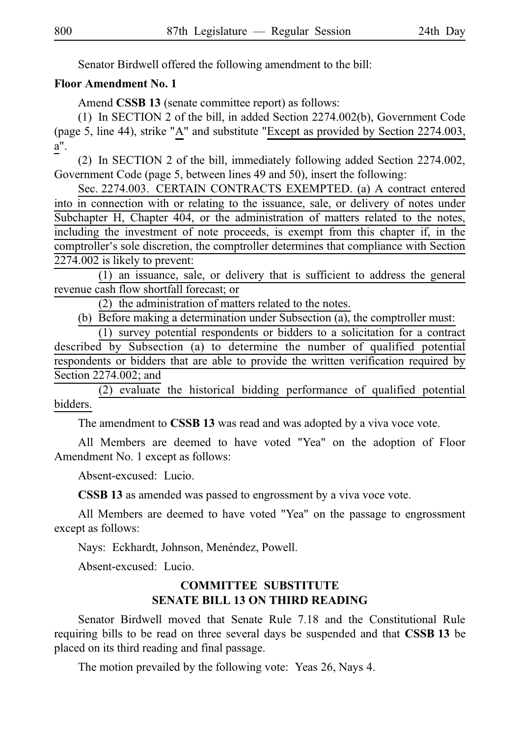Senator Birdwell offered the following amendment to the bill:

#### **Floor Amendment No. 1**

Amend **CSSB 13** (senate committee report) as follows:

(1) In SECTION 2 of the bill, in added Section 2274.002(b), Government Code (page 5, line 44), strike "A" and substitute "Except as provided by Section 2274.003, a".

(2) In SECTION 2 of the bill, immediately following added Section 2274.002, Government Code (page 5, between lines 49 and 50), insert the following:

Sec. 2274.003. CERTAIN CONTRACTS EXEMPTED. (a) A contract entered into in connection with or relating to the issuance, sale, or delivery of notes under Subchapter H, Chapter 404, or the administration of matters related to the notes, including the investment of note proceeds, is exempt from this chapter if, in the comptroller's sole discretion, the comptroller determines that compliance with Section 2274.002 is likely to prevent:

 $(1)$  an issuance, sale, or delivery that is sufficient to address the general revenue cash flow shortfall forecast; or

 $(2)$  the administration of matters related to the notes.

(b) Before making a determination under Subsection (a), the comptroller must:

 $(1)$  survey potential respondents or bidders to a solicitation for a contract described by Subsection (a) to determine the number of qualified potential respondents or bidders that are able to provide the written verification required by Section 2274.002; and

 $(2)$  evaluate the historical bidding performance of qualified potential bidders.

The amendment to **CSSB 13** was read and was adopted by a viva voce vote.

All Members are deemed to have voted "Yea" on the adoption of Floor Amendment No. 1 except as follows:

Absent-excused: Lucio.

**CSSB 13** as amended was passed to engrossment by a viva voce vote.

All Members are deemed to have voted "Yea" on the passage to engrossment except as follows:

Nays: Eckhardt, Johnson, Menéndez, Powell.

Absent-excused: Lucio.

# **COMMITTEE SUBSTITUTE SENATE BILL 13 ON THIRD READING**

Senator Birdwell moved that Senate Rule 7.18 and the Constitutional Rule requiring bills to be read on three several days be suspended and that **CSSBi13** be placed on its third reading and final passage.

The motion prevailed by the following vote: Yeas 26, Nays 4.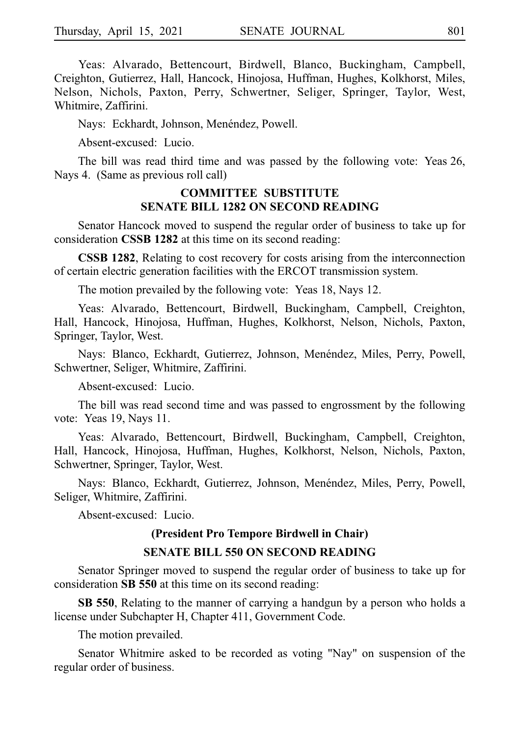Yeas: Alvarado, Bettencourt, Birdwell, Blanco, Buckingham, Campbell, Creighton, Gutierrez, Hall, Hancock, Hinojosa, Huffman, Hughes, Kolkhorst, Miles, Nelson, Nichols, Paxton, Perry, Schwertner, Seliger, Springer, Taylor, West, Whitmire, Zaffirini.

Nays: Eckhardt, Johnson, Menéndez, Powell.

Absent-excused: Lucio.

The bill was read third time and was passed by the following vote: Yeas 26, Nays 4. (Same as previous roll call)

#### **COMMITTEE SUBSTITUTE SENATE BILL 1282 ON SECOND READING**

Senator Hancock moved to suspend the regular order of business to take up for consideration **CSSB 1282** at this time on its second reading:

**CSSB 1282**, Relating to cost recovery for costs arising from the interconnection of certain electric generation facilities with the ERCOT transmission system.

The motion prevailed by the following vote: Yeas 18, Nays 12.

Yeas: Alvarado, Bettencourt, Birdwell, Buckingham, Campbell, Creighton, Hall, Hancock, Hinojosa, Huffman, Hughes, Kolkhorst, Nelson, Nichols, Paxton, Springer, Taylor, West.

Nays: Blanco, Eckhardt, Gutierrez, Johnson, Menéndez, Miles, Perry, Powell, Schwertner, Seliger, Whitmire, Zaffirini.

Absent-excused: Lucio.

The bill was read second time and was passed to engrossment by the following vote: Yeas 19, Nays 11.

Yeas: Alvarado, Bettencourt, Birdwell, Buckingham, Campbell, Creighton, Hall, Hancock, Hinojosa, Huffman, Hughes, Kolkhorst, Nelson, Nichols, Paxton, Schwertner, Springer, Taylor, West.

Nays: Blanco, Eckhardt, Gutierrez, Johnson, Menéndez, Miles, Perry, Powell, Seliger, Whitmire, Zaffirini.

Absent-excused: Lucio.

# **(President Pro Tempore Birdwell in Chair) SENATE BILL 550 ON SECOND READING**

Senator Springer moved to suspend the regular order of business to take up for consideration **SB 550** at this time on its second reading:

**SB 550**, Relating to the manner of carrying a handgun by a person who holds a license under Subchapter H, Chapter 411, Government Code.

The motion prevailed.

Senator Whitmire asked to be recorded as voting "Nay" on suspension of the regular order of business.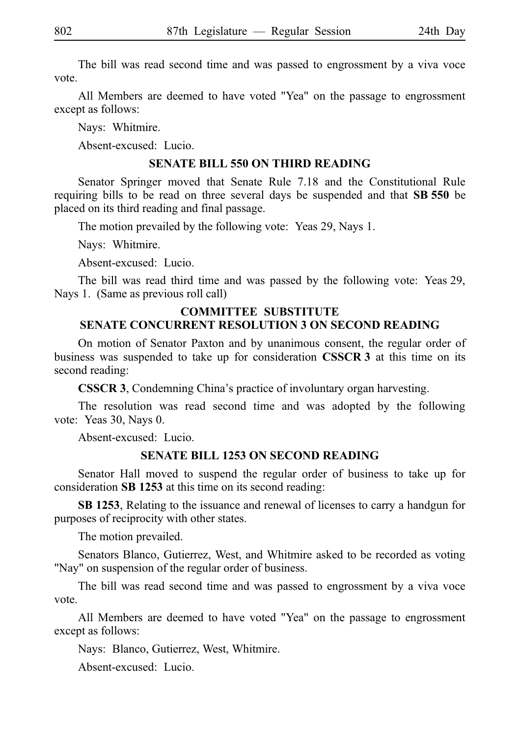The bill was read second time and was passed to engrossment by a viva voce vote.

All Members are deemed to have voted "Yea" on the passage to engrossment except as follows:

Nays: Whitmire.

Absent-excused: Lucio.

#### **SENATE BILL 550 ON THIRD READING**

Senator Springer moved that Senate Rule 7.18 and the Constitutional Rule requiring bills to be read on three several days be suspended and that **SB 550** be placed on its third reading and final passage.

The motion prevailed by the following vote: Yeas 29, Nays 1.

Nays: Whitmire.

Absent-excused: Lucio.

The bill was read third time and was passed by the following vote: Yeas 29, Nays 1. (Same as previous roll call)

#### **COMMITTEE SUBSTITUTE SENATE CONCURRENT RESOLUTION 3 ON SECOND READING**

On motion of Senator Paxton and by unanimous consent, the regular order of business was suspended to take up for consideration **CSSCR 3** at this time on its second reading:

**CSSCR 3**, Condemning China's practice of involuntary organ harvesting.

The resolution was read second time and was adopted by the following vote: Yeas 30, Nays 0.

Absent-excused: Lucio.

#### **SENATE BILL 1253 ON SECOND READING**

Senator Hall moved to suspend the regular order of business to take up for consideration SB 1253 at this time on its second reading:

**SBi1253**, Relating to the issuance and renewal of licenses to carry a handgun for purposes of reciprocity with other states.

The motion prevailed.

Senators Blanco, Gutierrez, West, and Whitmire asked to be recorded as voting "Nay" on suspension of the regular order of business.

The bill was read second time and was passed to engrossment by a viva voce vote.

All Members are deemed to have voted "Yea" on the passage to engrossment except as follows:

Nays: Blanco, Gutierrez, West, Whitmire.

Absent-excused: Lucio.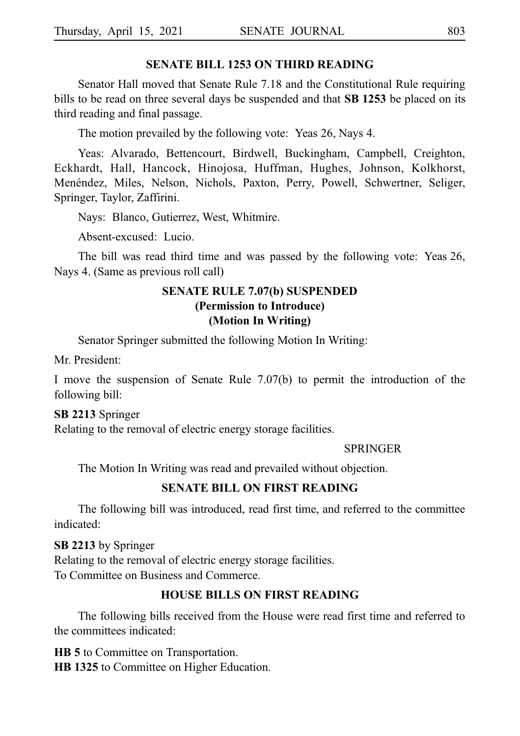#### **SENATE BILL 1253 ON THIRD READING**

Senator Hall moved that Senate Rule 7.18 and the Constitutional Rule requiring bills to be read on three several days be suspended and that **SB 1253** be placed on its third reading and final passage.

The motion prevailed by the following vote: Yeas 26, Nays 4.

Yeas: Alvarado, Bettencourt, Birdwell, Buckingham, Campbell, Creighton, Eckhardt, Hall, Hancock, Hinojosa, Huffman, Hughes, Johnson, Kolkhorst, Menéndez, Miles, Nelson, Nichols, Paxton, Perry, Powell, Schwertner, Seliger, Springer, Taylor, Zaffirini.

Nays: Blanco, Gutierrez, West, Whitmire.

Absent-excused: Lucio.

The bill was read third time and was passed by the following vote: Yeas 26, Nays 4. (Same as previous roll call)

# **SENATE RULE 7.07(b) SUSPENDED (Permission to Introduce) (Motion In Writing)**

Senator Springer submitted the following Motion In Writing:

Mr. President:

I move the suspension of Senate Rule 7.07(b) to permit the introduction of the following bill:

#### **SBi2213** Springer

Relating to the removal of electric energy storage facilities.

#### **SPRINGER**

The Motion In Writing was read and prevailed without objection.

#### **SENATE BILL ON FIRST READING**

The following bill was introduced, read first time, and referred to the committee indicated:

#### **SB 2213** by Springer

Relating to the removal of electric energy storage facilities. To Committee on Business and Commerce.

#### **HOUSE BILLS ON FIRST READING**

The following bills received from the House were read first time and referred to the committees indicated:

**HB 5** to Committee on Transportation. **HB 1325** to Committee on Higher Education.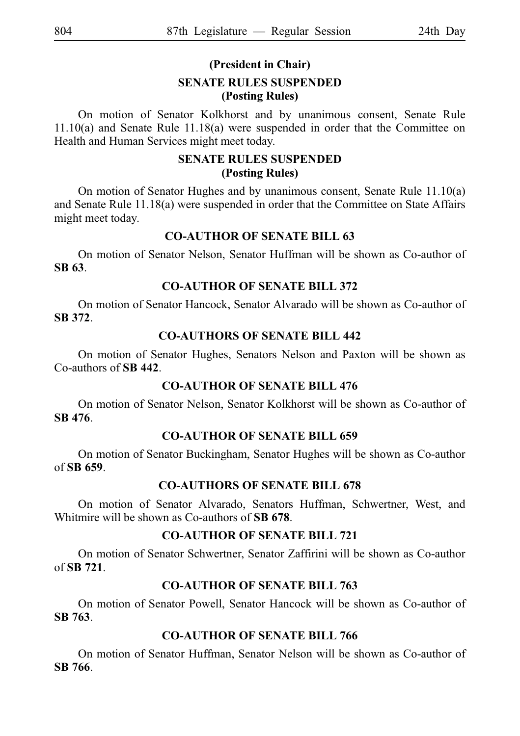# **(President in Chair)**

#### **SENATE RULES SUSPENDED (Posting Rules)**

On motion of Senator Kolkhorst and by unanimous consent, Senate Rule 11.10(a) and Senate Rule 11.18(a) were suspended in order that the Committee on Health and Human Services might meet today.

# **SENATE RULES SUSPENDED (Posting Rules)**

On motion of Senator Hughes and by unanimous consent, Senate Rule 11.10(a) and Senate Rule 11.18(a) were suspended in order that the Committee on State Affairs might meet today.

#### **CO-AUTHOR OF SENATE BILL 63**

On motion of Senator Nelson, Senator Huffman will be shown as Co-author of **SBi63**.

#### **CO-AUTHOR OF SENATE BILL 372**

On motion of Senator Hancock, Senator Alvarado will be shown as Co-author of **SBi372**.

#### **CO-AUTHORS OF SENATE BILL 442**

On motion of Senator Hughes, Senators Nelson and Paxton will be shown as Co-authors of **SBi442**.

# **CO-AUTHOR OF SENATE BILL 476**

On motion of Senator Nelson, Senator Kolkhorst will be shown as Co-author of **SBi476**.

#### **CO-AUTHOR OF SENATE BILL 659**

On motion of Senator Buckingham, Senator Hughes will be shown as Co-author of **SBi659**.

# **CO-AUTHORS OF SENATE BILL 678**

On motion of Senator Alvarado, Senators Huffman, Schwertner, West, and Whitmire will be shown as Co-authors of **SB 678**.

#### **CO-AUTHOR OF SENATE BILL 721**

On motion of Senator Schwertner, Senator Zaffirini will be shown as Co-author of **SBi721**.

# **CO-AUTHOR OF SENATE BILL 763**

On motion of Senator Powell, Senator Hancock will be shown as Co-author of **SBi763**.

# **CO-AUTHOR OF SENATE BILL 766**

On motion of Senator Huffman, Senator Nelson will be shown as Co-author of **SBi766**.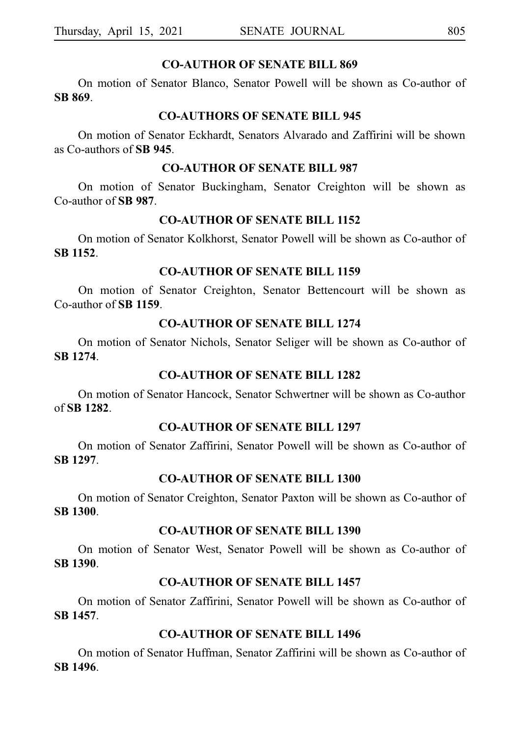#### **CO-AUTHOR OF SENATE BILL 869**

On motion of Senator Blanco, Senator Powell will be shown as Co-author of **SBi869**.

#### **CO-AUTHORS OF SENATE BILL 945**

On motion of Senator Eckhardt, Senators Alvarado and Zaffirini will be shown as Co-authors of SB 945.

#### **CO-AUTHOR OF SENATE BILL 987**

On motion of Senator Buckingham, Senator Creighton will be shown as Co-author of SB 987.

## **CO-AUTHOR OF SENATE BILL 1152**

On motion of Senator Kolkhorst, Senator Powell will be shown as Co-author of **SBi1152**.

# **CO-AUTHOR OF SENATE BILL 1159**

On motion of Senator Creighton, Senator Bettencourt will be shown as Co-author of **SBi1159**.

# **CO-AUTHOR OF SENATE BILL 1274**

On motion of Senator Nichols, Senator Seliger will be shown as Co-author of **SBi1274**.

#### **CO-AUTHOR OF SENATE BILL 1282**

On motion of Senator Hancock, Senator Schwertner will be shown as Co-author of **SBi1282**.

#### **CO-AUTHOR OF SENATE BILL 1297**

On motion of Senator Zaffirini, Senator Powell will be shown as Co-author of **SBi1297**.

# **CO-AUTHOR OF SENATE BILL 1300**

On motion of Senator Creighton, Senator Paxton will be shown as Co-author of **SBi1300**.

#### **CO-AUTHOR OF SENATE BILL 1390**

On motion of Senator West, Senator Powell will be shown as Co-author of **SBi1390**.

#### **CO-AUTHOR OF SENATE BILL 1457**

On motion of Senator Zaffirini, Senator Powell will be shown as Co-author of **SBi1457**.

# **CO-AUTHOR OF SENATE BILL 1496**

On motion of Senator Huffman, Senator Zaffirini will be shown as Co-author of **SBi1496**.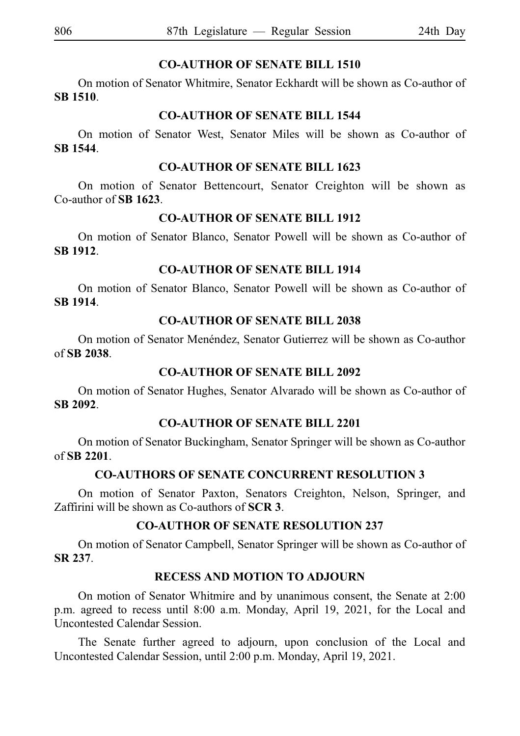# **CO-AUTHOR OF SENATE BILL 1510**

On motion of Senator Whitmire, Senator Eckhardt will be shown as Co-author of **SBi1510**.

#### **CO-AUTHOR OF SENATE BILL 1544**

On motion of Senator West, Senator Miles will be shown as Co-author of **SBi1544**.

#### **CO-AUTHOR OF SENATE BILL 1623**

On motion of Senator Bettencourt, Senator Creighton will be shown as Co-author of **SBi1623**.

# **CO-AUTHOR OF SENATE BILL 1912**

On motion of Senator Blanco, Senator Powell will be shown as Co-author of **SBi1912**.

# **CO-AUTHOR OF SENATE BILL 1914**

On motion of Senator Blanco, Senator Powell will be shown as Co-author of **SBi1914**.

# **CO-AUTHOR OF SENATE BILL 2038**

On motion of Senator Menéndez, Senator Gutierrez will be shown as Co-author of **SBi2038**.

# **CO-AUTHOR OF SENATE BILL 2092**

On motion of Senator Hughes, Senator Alvarado will be shown as Co-author of **SBi2092**.

# **CO-AUTHOR OF SENATE BILL 2201**

On motion of Senator Buckingham, Senator Springer will be shown as Co-author of **SBi2201**.

# **CO-AUTHORS OF SENATE CONCURRENT RESOLUTION 3**

On motion of Senator Paxton, Senators Creighton, Nelson, Springer, and Zaffirini will be shown as Co-authors of **SCRi3**.

# **CO-AUTHOR OF SENATE RESOLUTION 237**

On motion of Senator Campbell, Senator Springer will be shown as Co-author of **SRi237**.

# **RECESS AND MOTION TO ADJOURN**

On motion of Senator Whitmire and by unanimous consent, the Senate at 2:00 p.m. agreed to recess until 8:00 a.m. Monday, April 19, 2021, for the Local and Uncontested Calendar Session.

The Senate further agreed to adjourn, upon conclusion of the Local and Uncontested Calendar Session, until 2:00 p.m. Monday, April 19, 2021.